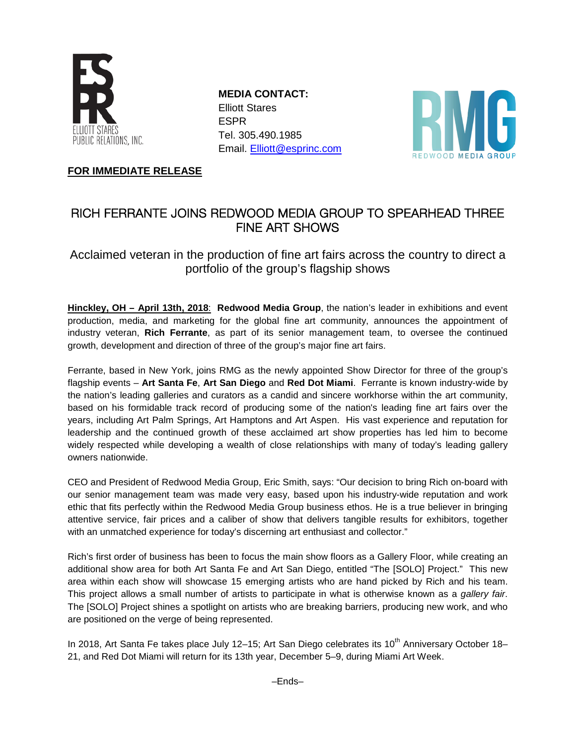

**MEDIA CONTACT:** Elliott Stares ESPR Tel. 305.490.1985 Email. [Elliott@esprinc.com](mailto:Elliott@esprinc.com)



**FOR IMMEDIATE RELEASE**

# RICH FERRANTE JOINS REDWOOD MEDIA GROUP TO SPEARHEAD THREE FINE ART SHOWS

Acclaimed veteran in the production of fine art fairs across the country to direct a portfolio of the group's flagship shows

**Hinckley, OH – April 13th, 2018**: **Redwood Media Group**, the nation's leader in exhibitions and event production, media, and marketing for the global fine art community, announces the appointment of industry veteran, **Rich Ferrante**, as part of its senior management team, to oversee the continued growth, development and direction of three of the group's major fine art fairs.

Ferrante, based in New York, joins RMG as the newly appointed Show Director for three of the group's flagship events – **Art Santa Fe**, **Art San Diego** and **Red Dot Miami**. Ferrante is known industry-wide by the nation's leading galleries and curators as a candid and sincere workhorse within the art community, based on his formidable track record of producing some of the nation's leading fine art fairs over the years, including Art Palm Springs, Art Hamptons and Art Aspen. His vast experience and reputation for leadership and the continued growth of these acclaimed art show properties has led him to become widely respected while developing a wealth of close relationships with many of today's leading gallery owners nationwide.

CEO and President of Redwood Media Group, Eric Smith, says: "Our decision to bring Rich on-board with our senior management team was made very easy, based upon his industry-wide reputation and work ethic that fits perfectly within the Redwood Media Group business ethos. He is a true believer in bringing attentive service, fair prices and a caliber of show that delivers tangible results for exhibitors, together with an unmatched experience for today's discerning art enthusiast and collector."

Rich's first order of business has been to focus the main show floors as a Gallery Floor, while creating an additional show area for both Art Santa Fe and Art San Diego, entitled "The [SOLO] Project." This new area within each show will showcase 15 emerging artists who are hand picked by Rich and his team. This project allows a small number of artists to participate in what is otherwise known as a *gallery fair*. The [SOLO] Project shines a spotlight on artists who are breaking barriers, producing new work, and who are positioned on the verge of being represented.

In 2018, Art Santa Fe takes place July 12-15; Art San Diego celebrates its 10<sup>th</sup> Anniversary October 18-21, and Red Dot Miami will return for its 13th year, December 5–9, during Miami Art Week.